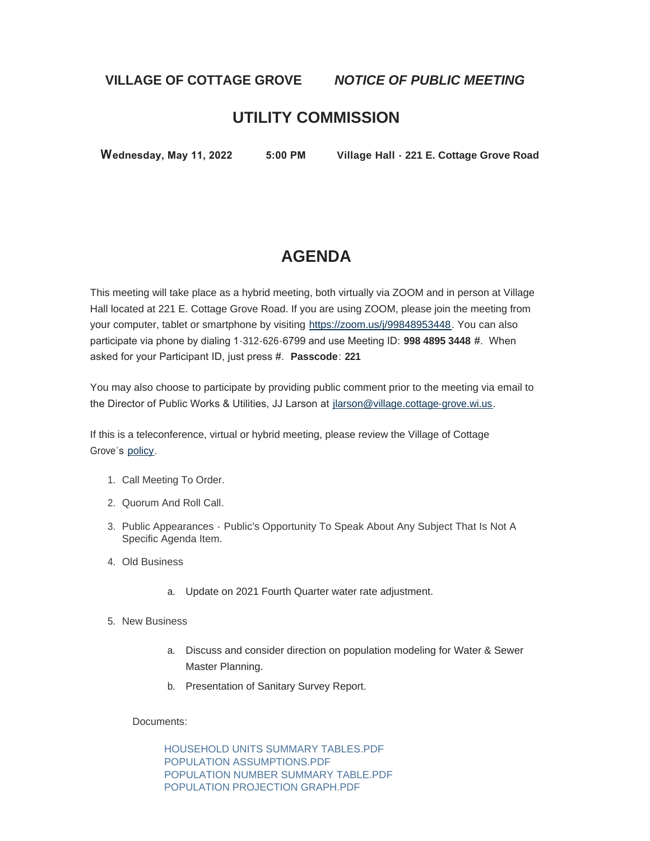### **VILLAGE OF COTTAGE GROVE** *NOTICE OF PUBLIC MEETING*

## **UTILITY COMMISSION**

 **Wednesday, May 11, 2022 5:00 PM Village Hall - 221 E. Cottage Grove Road**

# **AGENDA**

This meeting will take place as a hybrid meeting, both virtually via ZOOM and in person at Village Hall located at 221 E. Cottage Grove Road. If you are using ZOOM, please join the meeting from your computer, tablet or smartphone by visiting [https://zoom.us/j/99848953448.](https://zoom.us/j/99848953448) You can also participate via phone by dialing 1-312-626-6799 and use Meeting ID: **998 4895 3448** #. When asked for your Participant ID, just press #. **Passcode**: **221**

You may also choose to participate by providing public comment prior to the meeting via email to the Director of Public Works & Utilities, JJ Larson at [jlarson@village.cottage-grove.wi.us](mailto:jlarson@village.cottage-grove.wi.us).

If this is a teleconference, virtual or hybrid meeting, please review the Village of Cottage Grove's [policy.](https://www.vi.cottagegrove.wi.gov/DocumentCenter/View/1850/Virtual-Hybrid-Tele-meeting-Policy-Final)

- 1. Call Meeting To Order.
- 2. Quorum And Roll Call.
- 3. Public Appearances Public's Opportunity To Speak About Any Subject That Is Not A Specific Agenda Item.
- Old Business 4.
	- a. Update on 2021 Fourth Quarter water rate adjustment.
- 5. New Business
	- a. Discuss and consider direction on population modeling for Water & Sewer Master Planning.
	- b. Presentation of Sanitary Survey Report.

Documents:

[HOUSEHOLD UNITS SUMMARY TABLES.PDF](https://www.vi.cottagegrove.wi.gov/AgendaCenter/ViewFile/Item/10031?fileID=19668) [POPULATION ASSUMPTIONS.PDF](https://www.vi.cottagegrove.wi.gov/AgendaCenter/ViewFile/Item/10031?fileID=19669) [POPULATION NUMBER SUMMARY TABLE.PDF](https://www.vi.cottagegrove.wi.gov/AgendaCenter/ViewFile/Item/10031?fileID=19670) [POPULATION PROJECTION GRAPH.PDF](https://www.vi.cottagegrove.wi.gov/AgendaCenter/ViewFile/Item/10031?fileID=19671)